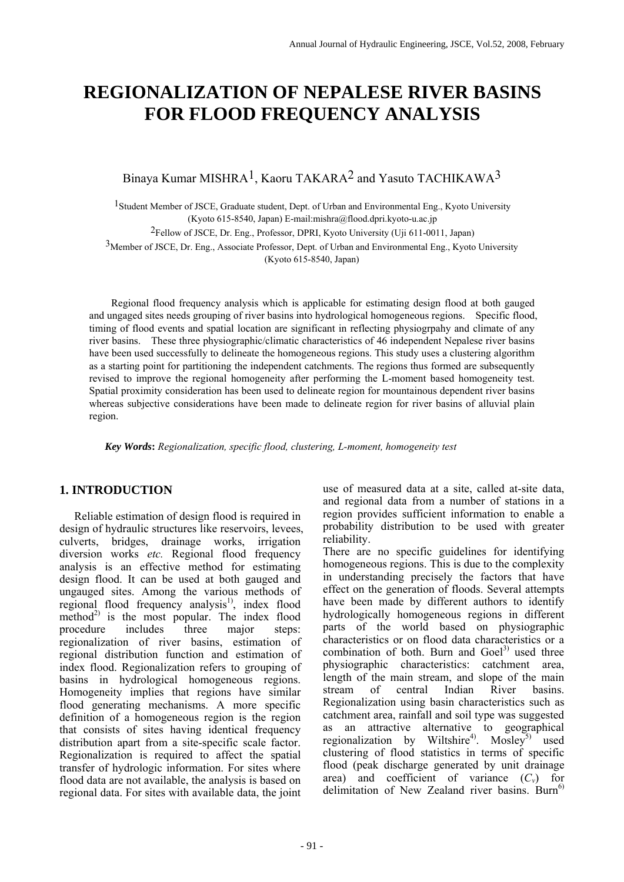# **REGIONALIZATION OF NEPALESE RIVER BASINS FOR FLOOD FREQUENCY ANALYSIS**

## Binaya Kumar MISHRA1, Kaoru TAKARA2 and Yasuto TACHIKAWA3

1Student Member of JSCE, Graduate student, Dept. of Urban and Environmental Eng., Kyoto University (Kyoto 615-8540, Japan) E-mail:mishra@flood.dpri.kyoto-u.ac.jp

2Fellow of JSCE, Dr. Eng., Professor, DPRI, Kyoto University (Uji 611-0011, Japan)

3Member of JSCE, Dr. Eng., Associate Professor, Dept. of Urban and Environmental Eng., Kyoto University

(Kyoto 615-8540, Japan)

 Regional flood frequency analysis which is applicable for estimating design flood at both gauged and ungaged sites needs grouping of river basins into hydrological homogeneous regions. Specific flood, timing of flood events and spatial location are significant in reflecting physiogrpahy and climate of any river basins. These three physiographic/climatic characteristics of 46 independent Nepalese river basins have been used successfully to delineate the homogeneous regions. This study uses a clustering algorithm as a starting point for partitioning the independent catchments. The regions thus formed are subsequently revised to improve the regional homogeneity after performing the L-moment based homogeneity test. Spatial proximity consideration has been used to delineate region for mountainous dependent river basins whereas subjective considerations have been made to delineate region for river basins of alluvial plain region.

 *Key Words***:** *Regionalization, specific flood, clustering, L-moment, homogeneity test* 

### **1. INTRODUCTION**

Reliable estimation of design flood is required in design of hydraulic structures like reservoirs, levees, culverts, bridges, drainage works, irrigation diversion works *etc.* Regional flood frequency analysis is an effective method for estimating design flood. It can be used at both gauged and ungauged sites. Among the various methods of regional flood frequency analysis<sup>1)</sup>, index flood method<sup>2)</sup> is the most popular. The index flood procedure includes three major steps: regionalization of river basins, estimation of regional distribution function and estimation of index flood. Regionalization refers to grouping of basins in hydrological homogeneous regions. Homogeneity implies that regions have similar flood generating mechanisms. A more specific definition of a homogeneous region is the region that consists of sites having identical frequency distribution apart from a site-specific scale factor. Regionalization is required to affect the spatial transfer of hydrologic information. For sites where flood data are not available, the analysis is based on regional data. For sites with available data, the joint

use of measured data at a site, called at-site data, and regional data from a number of stations in a region provides sufficient information to enable a probability distribution to be used with greater reliability.

There are no specific guidelines for identifying homogeneous regions. This is due to the complexity in understanding precisely the factors that have effect on the generation of floods. Several attempts have been made by different authors to identify hydrologically homogeneous regions in different parts of the world based on physiographic characteristics or on flood data characteristics or a combination of both. Burn and  $Goel<sup>3</sup>$  used three physiographic characteristics: catchment area, length of the main stream, and slope of the main stream of central Indian River basins. Regionalization using basin characteristics such as catchment area, rainfall and soil type was suggested as an attractive alternative to geographical regionalization by Wiltshire<sup>4)</sup>. Mosley<sup>5)</sup> used clustering of flood statistics in terms of specific flood (peak discharge generated by unit drainage area) and coefficient of variance  $(C_v)$  for delimitation of New Zealand river basins.  $Burn<sup>6</sup>$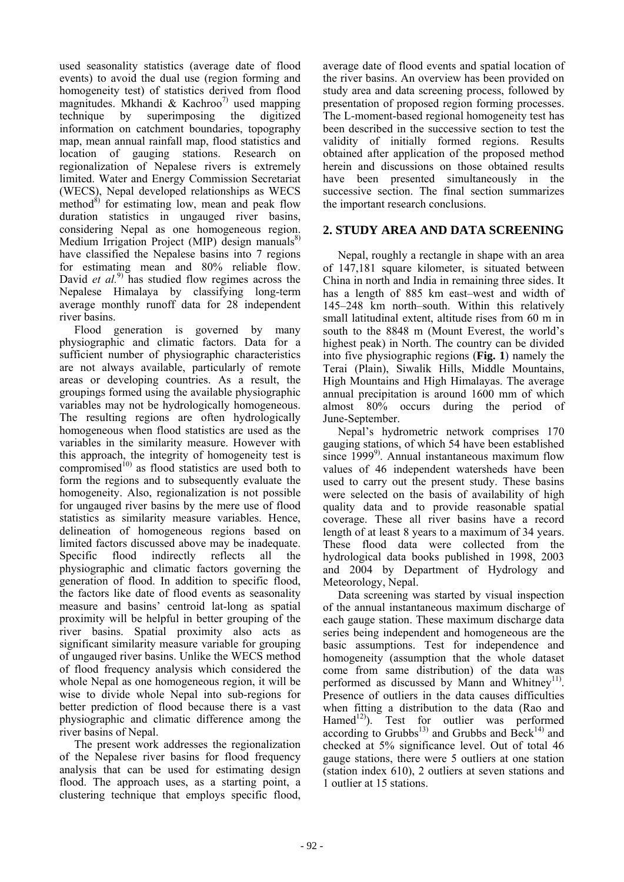used seasonality statistics (average date of flood events) to avoid the dual use (region forming and homogeneity test) of statistics derived from flood magnitudes. Mkhandi & Kachroo<sup>7)</sup> used mapping technique by superimposing the digitized information on catchment boundaries, topography map, mean annual rainfall map, flood statistics and location of gauging stations. Research on regionalization of Nepalese rivers is extremely limited. Water and Energy Commission Secretariat (WECS), Nepal developed relationships as WECS method $^{8)}$  for estimating low, mean and peak flow duration statistics in ungauged river basins, considering Nepal as one homogeneous region. Medium Irrigation Project (MIP) design manuals $^{8)}$ have classified the Nepalese basins into 7 regions for estimating mean and 80% reliable flow. David *et al.*<sup>9)</sup> has studied flow regimes across the Nepalese Himalaya by classifying long-term average monthly runoff data for 28 independent river basins.

Flood generation is governed by many physiographic and climatic factors. Data for a sufficient number of physiographic characteristics are not always available, particularly of remote areas or developing countries. As a result, the groupings formed using the available physiographic variables may not be hydrologically homogeneous. The resulting regions are often hydrologically homogeneous when flood statistics are used as the variables in the similarity measure. However with this approach, the integrity of homogeneity test is compromised $^{(0)}$  as flood statistics are used both to form the regions and to subsequently evaluate the homogeneity. Also, regionalization is not possible for ungauged river basins by the mere use of flood statistics as similarity measure variables. Hence, delineation of homogeneous regions based on limited factors discussed above may be inadequate. Specific flood indirectly reflects all the physiographic and climatic factors governing the generation of flood. In addition to specific flood, the factors like date of flood events as seasonality measure and basins' centroid lat-long as spatial proximity will be helpful in better grouping of the river basins. Spatial proximity also acts as significant similarity measure variable for grouping of ungauged river basins. Unlike the WECS method of flood frequency analysis which considered the whole Nepal as one homogeneous region, it will be wise to divide whole Nepal into sub-regions for better prediction of flood because there is a vast physiographic and climatic difference among the river basins of Nepal.

The present work addresses the regionalization of the Nepalese river basins for flood frequency analysis that can be used for estimating design flood. The approach uses, as a starting point, a clustering technique that employs specific flood, average date of flood events and spatial location of the river basins. An overview has been provided on study area and data screening process, followed by presentation of proposed region forming processes. The L-moment-based regional homogeneity test has been described in the successive section to test the validity of initially formed regions. Results obtained after application of the proposed method herein and discussions on those obtained results have been presented simultaneously in the successive section. The final section summarizes the important research conclusions.

### **2. STUDY AREA AND DATA SCREENING**

Nepal, roughly a rectangle in shape with an area of 147,181 square kilometer, is situated between China in north and India in remaining three sides. It has a length of 885 km east–west and width of 145–248 km north–south. Within this relatively small latitudinal extent, altitude rises from 60 m in south to the 8848 m (Mount Everest, the world's highest peak) in North. The country can be divided into five physiographic regions (**Fig. 1**) namely the Terai (Plain), Siwalik Hills, Middle Mountains, High Mountains and High Himalayas. The average annual precipitation is around 1600 mm of which almost 80% occurs during the period of June-September.

Nepal's hydrometric network comprises 170 gauging stations, of which 54 have been established since  $1999^{\circ}$ . Annual instantaneous maximum flow values of 46 independent watersheds have been used to carry out the present study. These basins were selected on the basis of availability of high quality data and to provide reasonable spatial coverage. These all river basins have a record length of at least 8 years to a maximum of 34 years. These flood data were collected from the hydrological data books published in 1998, 2003 and 2004 by Department of Hydrology and Meteorology, Nepal.

Data screening was started by visual inspection of the annual instantaneous maximum discharge of each gauge station. These maximum discharge data series being independent and homogeneous are the basic assumptions. Test for independence and homogeneity (assumption that the whole dataset come from same distribution) of the data was performed as discussed by Mann and Whitney<sup>11)</sup>. Presence of outliers in the data causes difficulties when fitting a distribution to the data (Rao and Hamed<sup>12</sup>). Test for outlier was performed according to Grubbs<sup>13)</sup> and Grubbs and  $\text{Beck}^{14}$  and checked at 5% significance level. Out of total 46 gauge stations, there were 5 outliers at one station (station index 610), 2 outliers at seven stations and 1 outlier at 15 stations.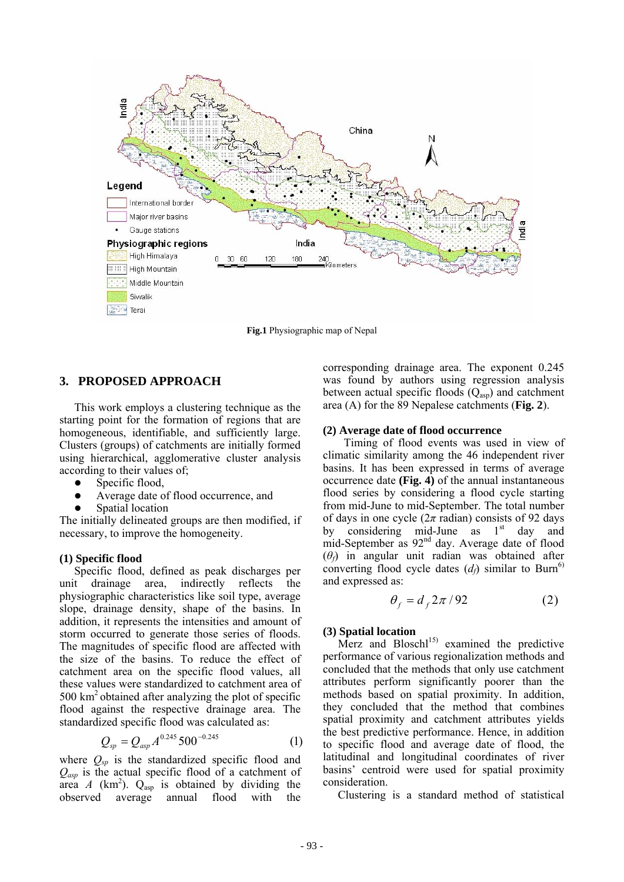

**Fig.1** Physiographic map of Nepal

### **3. PROPOSED APPROACH**

This work employs a clustering technique as the starting point for the formation of regions that are homogeneous, identifiable, and sufficiently large. Clusters (groups) of catchments are initially formed using hierarchical, agglomerative cluster analysis according to their values of;

- $\bullet$  Specific flood,
- Average date of flood occurrence, and
- Spatial location

The initially delineated groups are then modified, if necessary, to improve the homogeneity.

#### **(1) Specific flood**

Specific flood, defined as peak discharges per unit drainage area, indirectly reflects the physiographic characteristics like soil type, average slope, drainage density, shape of the basins. In addition, it represents the intensities and amount of storm occurred to generate those series of floods. The magnitudes of specific flood are affected with the size of the basins. To reduce the effect of catchment area on the specific flood values, all these values were standardized to catchment area of  $500 \text{ km}^2$  obtained after analyzing the plot of specific flood against the respective drainage area. The standardized specific flood was calculated as:

$$
Q_{sp} = Q_{asp} A^{0.245} 500^{-0.245}
$$
 (1)

where  $Q_{sp}$  is the standardized specific flood and *Qasp* is the actual specific flood of a catchment of area *A* (km<sup>2</sup>).  $Q_{\text{asp}}$  is obtained by dividing the observed average annual flood with the

corresponding drainage area. The exponent 0.245 was found by authors using regression analysis between actual specific floods  $(Q_{\text{asp}})$  and catchment area (A) for the 89 Nepalese catchments (**Fig. 2**).

#### **(2) Average date of flood occurrence**

 Timing of flood events was used in view of climatic similarity among the 46 independent river basins. It has been expressed in terms of average occurrence date **(Fig. 4)** of the annual instantaneous flood series by considering a flood cycle starting from mid-June to mid-September. The total number of days in one cycle  $(2\pi \text{ radian})$  consists of 92 days by considering mid-June as  $1<sup>st</sup>$  day and mid-September as 92nd day. Average date of flood (*θf*) in angular unit radian was obtained after converting flood cycle dates  $(d<sub>f</sub>)$  similar to Burn<sup>6)</sup> and expressed as:

$$
\theta_f = d_f 2\pi / 92 \tag{2}
$$

#### **(3) Spatial location**

Merz and  $B$ losch $1^{15}$  examined the predictive performance of various regionalization methods and concluded that the methods that only use catchment attributes perform significantly poorer than the methods based on spatial proximity. In addition, they concluded that the method that combines spatial proximity and catchment attributes yields the best predictive performance. Hence, in addition to specific flood and average date of flood, the latitudinal and longitudinal coordinates of river basins' centroid were used for spatial proximity consideration.

Clustering is a standard method of statistical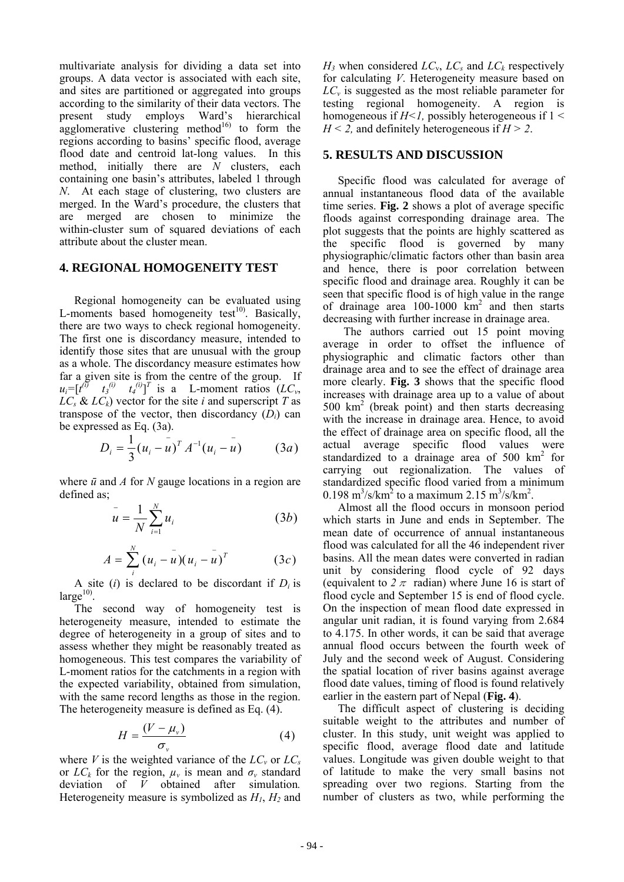multivariate analysis for dividing a data set into groups. A data vector is associated with each site, and sites are partitioned or aggregated into groups according to the similarity of their data vectors. The present study employs Ward's hierarchical agglomerative clustering method $16$  to form the regions according to basins' specific flood, average flood date and centroid lat-long values. In this method, initially there are *N* clusters, each containing one basin's attributes, labeled 1 through *N*. At each stage of clustering, two clusters are merged. In the Ward's procedure, the clusters that are merged are chosen to minimize the within-cluster sum of squared deviations of each attribute about the cluster mean.

#### **4. REGIONAL HOMOGENEITY TEST**

Regional homogeneity can be evaluated using L-moments based homogeneity test $^{10}$ . Basically, there are two ways to check regional homogeneity. The first one is discordancy measure, intended to identify those sites that are unusual with the group as a whole. The discordancy measure estimates how far a given site is from the centre of the group. If  $u_i = [t^{(i)} \quad t_3^{(i)} \quad t_4^{(i)}]^T$  is a L-moment ratios  $(LC_v,$  $LC_s$  &  $LC_k$ ) vector for the site *i* and superscript *T* as transpose of the vector, then discordancy (*Di*) can be expressed as Eq. (3a).

$$
D_i = \frac{1}{3} (u_i - \bar{u})^T A^{-1} (u_i - \bar{u}) \qquad (3a)
$$

where *ū* and *A* for *N* gauge locations in a region are defined as;

$$
\bar{u} = \frac{1}{N} \sum_{i=1}^{N} u_i
$$
 (3b)

$$
A = \sum_{i}^{N} (u_i - u)(u_i - u)^{T}
$$
 (3*c*)

A site  $(i)$  is declared to be discordant if  $D_i$  is  $large<sup>10</sup>$ .

The second way of homogeneity test is heterogeneity measure, intended to estimate the degree of heterogeneity in a group of sites and to assess whether they might be reasonably treated as homogeneous. This test compares the variability of L-moment ratios for the catchments in a region with the expected variability, obtained from simulation, with the same record lengths as those in the region. The heterogeneity measure is defined as Eq. (4).

$$
H = \frac{(V - \mu_v)}{\sigma_v} \tag{4}
$$

where *V* is the weighted variance of the  $LC_v$  or  $LC_s$ or  $LC_k$  for the region,  $\mu_v$  is mean and  $\sigma_v$  standard deviation of *V* obtained after simulation*.*  Heterogeneity measure is symbolized as *H1*, *H2* and  $H_3$  when considered  $LC_v$ ,  $LC_s$  and  $LC_k$  respectively for calculating *V*. Heterogeneity measure based on *LC<sub>v</sub>* is suggested as the most reliable parameter for testing regional homogeneity. A region is homogeneous if  $H<1$ , possibly heterogeneous if  $1 <$  $H < 2$ , and definitely heterogeneous if  $H > 2$ .

#### **5. RESULTS AND DISCUSSION**

Specific flood was calculated for average of annual instantaneous flood data of the available time series. **Fig. 2** shows a plot of average specific floods against corresponding drainage area. The plot suggests that the points are highly scattered as the specific flood is governed by many physiographic/climatic factors other than basin area and hence, there is poor correlation between specific flood and drainage area. Roughly it can be seen that specific flood is of high value in the range of drainage area  $100-1000$   $km^2$  and then starts decreasing with further increase in drainage area.

The authors carried out 15 point moving average in order to offset the influence of physiographic and climatic factors other than drainage area and to see the effect of drainage area more clearly. **Fig. 3** shows that the specific flood increases with drainage area up to a value of about 500 km2 (break point) and then starts decreasing with the increase in drainage area. Hence, to avoid the effect of drainage area on specific flood, all the actual average specific flood values were standardized to a drainage area of 500 km<sup>2</sup> for carrying out regionalization. The values of standardized specific flood varied from a minimum 0.198 m<sup>3</sup>/s/km<sup>2</sup> to a maximum 2.15 m<sup>3</sup>/s/km<sup>2</sup>.

Almost all the flood occurs in monsoon period which starts in June and ends in September. The mean date of occurrence of annual instantaneous flood was calculated for all the 46 independent river basins. All the mean dates were converted in radian unit by considering flood cycle of 92 days (equivalent to  $2 \pi$  radian) where June 16 is start of flood cycle and September 15 is end of flood cycle. On the inspection of mean flood date expressed in angular unit radian, it is found varying from 2.684 to 4.175. In other words, it can be said that average annual flood occurs between the fourth week of July and the second week of August. Considering the spatial location of river basins against average flood date values, timing of flood is found relatively earlier in the eastern part of Nepal (**Fig. 4**).

The difficult aspect of clustering is deciding suitable weight to the attributes and number of cluster. In this study, unit weight was applied to specific flood, average flood date and latitude values. Longitude was given double weight to that of latitude to make the very small basins not spreading over two regions. Starting from the number of clusters as two, while performing the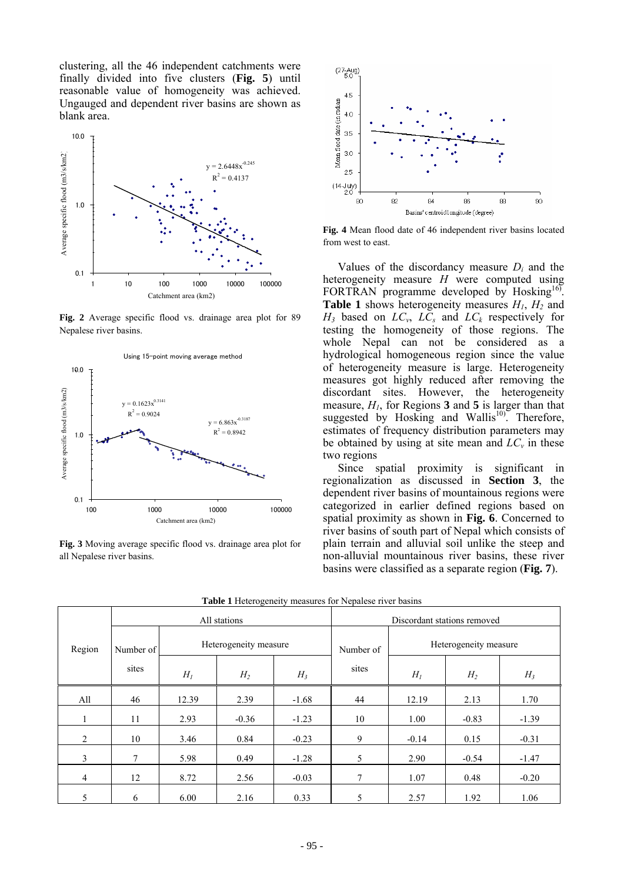clustering, all the 46 independent catchments were finally divided into five clusters (**Fig. 5**) until reasonable value of homogeneity was achieved. Ungauged and dependent river basins are shown as blank area.



**Fig. 2** Average specific flood vs. drainage area plot for 89 Nepalese river basins.



**Fig. 3** Moving average specific flood vs. drainage area plot for all Nepalese river basins.



**Fig. 4** Mean flood date of 46 independent river basins located from west to east.

Values of the discordancy measure *Di* and the heterogeneity measure *H* were computed using FORTRAN programme developed by Hosking<sup>16)</sup>. **Table 1** shows heterogeneity measures  $H_1$ ,  $H_2$  and  $H_3$  based on  $LC_v$ ,  $LC_s$  and  $LC_k$  respectively for testing the homogeneity of those regions. The whole Nepal can not be considered as a hydrological homogeneous region since the value of heterogeneity measure is large. Heterogeneity measures got highly reduced after removing the discordant sites. However, the heterogeneity measure,  $H<sub>1</sub>$ , for Regions 3 and 5 is larger than that suggested by Hosking and Wallis<sup>10)</sup>. Therefore, estimates of frequency distribution parameters may be obtained by using at site mean and  $LC_v$  in these two regions

Since spatial proximity is significant in regionalization as discussed in **Section 3**, the dependent river basins of mountainous regions were categorized in earlier defined regions based on spatial proximity as shown in **Fig. 6**. Concerned to river basins of south part of Nepal which consists of plain terrain and alluvial soil unlike the steep and non-alluvial mountainous river basins, these river basins were classified as a separate region (**Fig. 7**).

|                | All stations   |                       |                |         | Discordant stations removed |                       |         |         |
|----------------|----------------|-----------------------|----------------|---------|-----------------------------|-----------------------|---------|---------|
| Region         | Number of      | Heterogeneity measure |                |         | Number of                   | Heterogeneity measure |         |         |
|                | sites          | $H_I$                 | H <sub>2</sub> | $H_3$   | sites                       | $H_I$                 | $H_2$   | $H_3$   |
| All            | 46             | 12.39                 | 2.39           | $-1.68$ | 44                          | 12.19                 | 2.13    | 1.70    |
|                | 11             | 2.93                  | $-0.36$        | $-1.23$ | 10                          | 1.00                  | $-0.83$ | $-1.39$ |
| 2              | 10             | 3.46                  | 0.84           | $-0.23$ | 9                           | $-0.14$               | 0.15    | $-0.31$ |
| 3              | $\overline{7}$ | 5.98                  | 0.49           | $-1.28$ | 5                           | 2.90                  | $-0.54$ | $-1.47$ |
| $\overline{4}$ | 12             | 8.72                  | 2.56           | $-0.03$ | 7                           | 1.07                  | 0.48    | $-0.20$ |
| 5              | 6              | 6.00                  | 2.16           | 0.33    | 5                           | 2.57                  | 1.92    | 1.06    |

**Table 1** Heterogeneity measures for Nepalese river basins